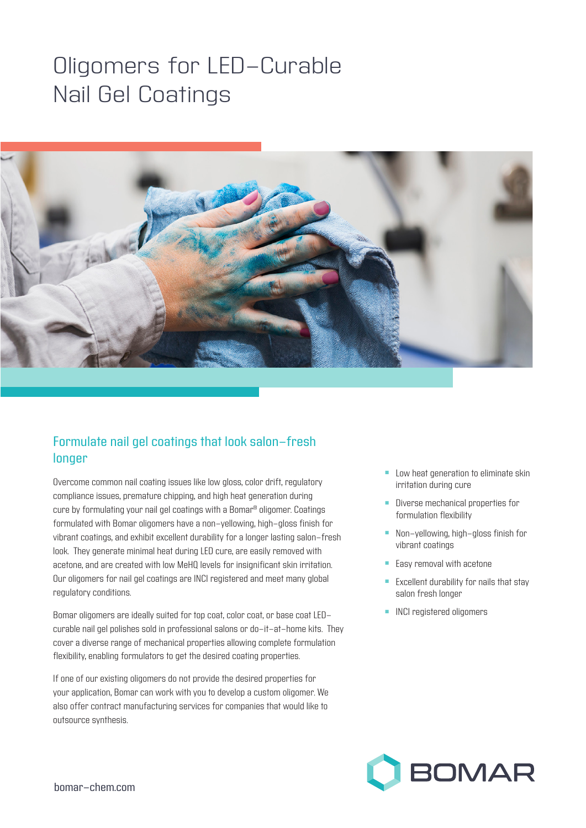## Oligomers for LED-Curable Nail Gel Coatings



## Formulate nail gel coatings that look salon-fresh longer

Overcome common nail coating issues like low gloss, color drift, regulatory compliance issues, premature chipping, and high heat generation during cure by formulating your nail gel coatings with a Bomar® oligomer. Coatings formulated with Bomar oligomers have a non-yellowing, high-gloss finish for vibrant coatings, and exhibit excellent durability for a longer lasting salon-fresh look. They generate minimal heat during LED cure, are easily removed with acetone, and are created with low MeHQ levels for insignificant skin irritation. Our oligomers for nail gel coatings are INCI registered and meet many global regulatory conditions.

Bomar oligomers are ideally suited for top coat, color coat, or base coat LEDcurable nail gel polishes sold in professional salons or do-it-at-home kits. They cover a diverse range of mechanical properties allowing complete formulation flexibility, enabling formulators to get the desired coating properties.

If one of our existing oligomers do not provide the desired properties for your application, Bomar can work with you to develop a custom oligomer. We also offer contract manufacturing services for companies that would like to outsource synthesis.

- Low heat generation to eliminate skin irritation during cure
- **n** Diverse mechanical properties for formulation flexibility
- **n** Non-yellowing, high-gloss finish for vibrant coatings
- **Easy removal with acetone**
- $\blacksquare$  Excellent durability for nails that stay salon fresh longer
- **n** INCI registered oligomers